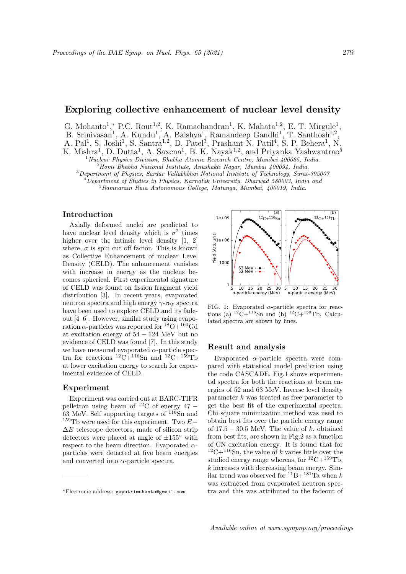# Exploring collective enhancement of nuclear level density

G. Mohanto<sup>1</sup>,\* P.C. Rout<sup>1,2</sup>, K. Ramachandran<sup>1</sup>, K. Mahata<sup>1,2</sup>, E. T. Mirgule<sup>1</sup>, B. Srinivasan<sup>1</sup>, A. Kundu<sup>1</sup>, A. Baishya<sup>1</sup>, Ramandeep Gandhi<sup>1</sup>, T. Santhosh<sup>1,2</sup>, A. Pal<sup>1</sup>, S. Joshi<sup>1</sup>, S. Santra<sup>1,2</sup>, D. Patel<sup>3</sup>, Prashant N. Patil<sup>4</sup>, S. P. Behera<sup>1</sup>, N. K. Mishra<sup>1</sup>, D. Dutta<sup>1</sup>, A. Saxena<sup>1</sup>, B. K. Nayak<sup>1,2</sup>, and Priyanka Yashwantrao<sup>5</sup> <sup>1</sup> Nuclear Physics Division, Bhabha Atomic Research Centre, Mumbai 400085, India.

 $2$ Homi Bhabha National Institute, Anushakti Nagar, Mumbai 400094, India.

<sup>3</sup>Department of Physics, Sardar Vallabhbhai National Institute of Technology, Surat-395007  $^{4}$ Department of Studies in Physics, Karnatak University, Dharwad 580003, India and  $5$ Ramnarain Ruia Autonomous College, Matunga, Mumbai, 400019, India.

Introduction

Axially deformed nuclei are predicted to have nuclear level density which is  $\sigma^2$  times higher over the intinsic level density [1, 2] where,  $\sigma$  is spin cut off factor. This is known as Collective Enhancement of nuclear Level Density (CELD). The enhancement vanishes with increase in energy as the nucleus becomes spherical. First experimental signature of CELD was found on fission fragment yield distribution [3]. In recent years, evaporated neutron spectra and high energy  $\gamma$ -ray spectra have been used to explore CELD and its fadeout [4–6]. However, similar study using evaporation  $\alpha$ -particles was reported for  ${}^{18}O+{}^{160}Gd$ at excitation energy of 54 − 124 MeV but no evidence of CELD was found [7]. In this study we have measured evaporated  $\alpha$ -particle spectra for reactions  ${}^{12}C+{}^{116}Sn$  and  ${}^{12}C+{}^{159}Tb$ at lower excitation energy to search for experimental evidence of CELD.

### Experiment

Experiment was carried out at BARC-TIFR pelletron using beam of <sup>12</sup>C of energy 47 − 63 MeV. Self supporting targets of  $11\overline{6}$ Sn and <sup>159</sup>Tb were used for this experiment. Two  $E \Delta E$  telescope detectors, made of silicon strip detectors were placed at angle of  $\pm 155^{\circ}$  with respect to the beam direction. Evaporated  $\alpha$ particles were detected at five beam energies and converted into  $\alpha$ -particle spectra.



FIG. 1: Evaporated  $\alpha$ -particle spectra for reactions (a)  $^{12}C+^{116}Sn$  and (b)  $^{12}C+^{159}Tb$ . Calculated spectra are shown by lines.

### Result and analysis

Evaporated  $\alpha$ -particle spectra were compared with statistical model prediction using the code CASCADE. Fig.1 shows experimental spectra for both the reactions at beam energies of 52 and 63 MeV. Inverse level density parameter  $k$  was treated as free parameter to get the best fit of the experimental spectra. Chi square minimization method was used to obtain best fits over the particle energy range of  $17.5 - 30.5$  MeV. The value of k, obtained from best fits, are shown in Fig.2 as a function of CN excitation energy. It is found that for  $12C+116$ Sn, the value of k varies little over the studied energy range whereas, for  ${}^{12}C+{}^{159}Tb$ ,  $k$  increases with decreasing beam energy. Similar trend was observed for  ${}^{11}B+{}^{181}Ta$  when k was extracted from evaporated neutron spectra and this was attributed to the fadeout of

<sup>∗</sup>Electronic address: gayatrimohanto@gmail.com